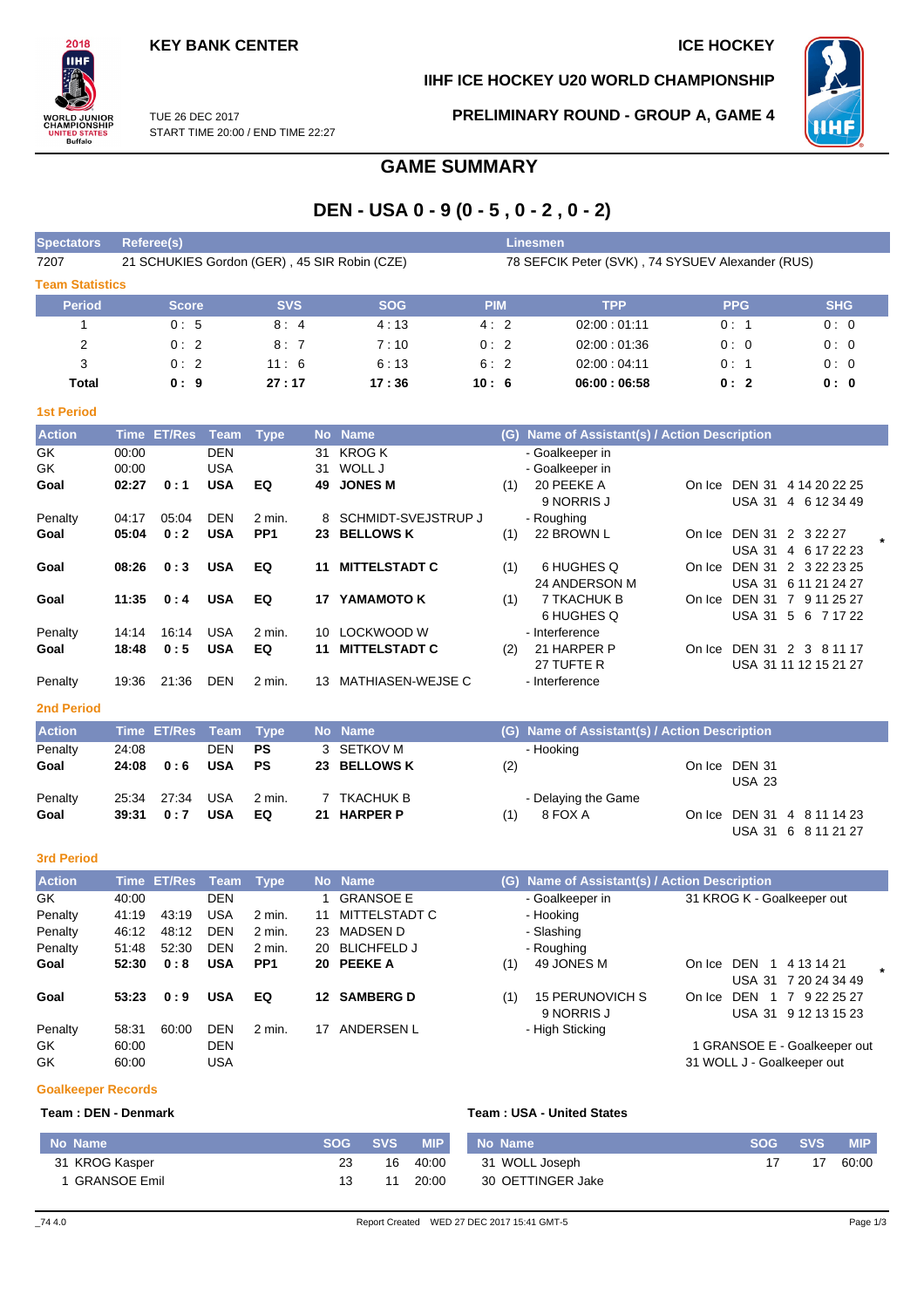USA 23

USA 31 6 8 11 21 27

# IІHI **)RLD JUNIOR<br>|AMPIONSHIP IED STA**<br>Buffalo

2018

**IIHF ICE HOCKEY U20 WORLD CHAMPIONSHIP**



TUE 26 DEC 2017 START TIME 20:00 / END TIME 22:27 **PRELIMINARY ROUND - GROUP A, GAME 4**

# **GAME SUMMARY**

# **DEN - USA 0 - 9 (0 - 5 , 0 - 2 , 0 - 2)**

| <b>Spectators</b>      | Referee(s)                                   |            |            | <b>Linesmen</b> |                                                  |            |            |
|------------------------|----------------------------------------------|------------|------------|-----------------|--------------------------------------------------|------------|------------|
| 7207                   | 21 SCHUKIES Gordon (GER), 45 SIR Robin (CZE) |            |            |                 | 78 SEFCIK Peter (SVK), 74 SYSUEV Alexander (RUS) |            |            |
| <b>Team Statistics</b> |                                              |            |            |                 |                                                  |            |            |
| <b>Period</b>          | <b>Score</b>                                 | <b>SVS</b> | <b>SOG</b> | <b>PIM</b>      | <b>TPP</b>                                       | <b>PPG</b> | <b>SHG</b> |
|                        | 0:5                                          | 8:4        | 4:13       | 4:2             | 02:00:01:11                                      | 0:1        | 0:0        |
| 2                      | 0:2                                          | 8:7        | 7:10       | 0:2             | 02:00:01:36                                      | 0:0        | 0:0        |
| 3                      | 0:2                                          | 11:6       | 6:13       | 6:2             | 02:00:04:11                                      | 0:1        | 0:0        |
| Total                  | 0:9                                          | 27:17      | 17:36      | 10:6            | 06:00:06:58                                      | 0:2        | 0:0        |

| <b>Action</b>     | Time           | <b>ET/Res</b> | Team                     | <b>Type</b>            |           | No Name                        | (G) | Name of Assistant(s) / Action Description |        |                                                                    |
|-------------------|----------------|---------------|--------------------------|------------------------|-----------|--------------------------------|-----|-------------------------------------------|--------|--------------------------------------------------------------------|
| GK<br>GK          | 00:00<br>00:00 |               | <b>DEN</b><br><b>USA</b> |                        | 31<br>31  | <b>KROG K</b><br>WOLL J        |     | - Goalkeeper in<br>- Goalkeeper in        |        |                                                                    |
| Goal              | 02:27          | 0:1           | <b>USA</b>               | EQ                     | 49        | <b>JONES M</b>                 | (1) | 20 PEEKE A<br>9 NORRIS J                  | On Ice | <b>DEN 31</b><br>4 14 20 22 25<br><b>USA 31</b><br>6 12 34 49<br>4 |
| Penalty           | 04:17          | 05:04         | <b>DEN</b>               | 2 min.                 | 8         | SCHMIDT-SVEJSTRUP J            |     | - Roughing                                |        |                                                                    |
| Goal              | 05:04          | 0:2           | <b>USA</b>               | PP <sub>1</sub>        | 23        | <b>BELLOWS K</b>               | (1) | 22 BROWN L                                | On Ice | <b>DEN 31</b><br>2 3 2 2 2 2 7<br><b>USA 31</b><br>4 6 17 22 23    |
| Goal              | 08:26          | 0:3           | <b>USA</b>               | EQ                     | 11        | <b>MITTELSTADT C</b>           | (1) | 6 HUGHES Q<br>24 ANDERSON M               | On Ice | <b>DEN 31</b><br>2 3 22 23 25<br><b>USA 31</b><br>6 11 21 24 27    |
| Goal              | 11:35          | 0:4           | <b>USA</b>               | EQ                     | 17        | YAMAMOTO K                     | (1) | 7 TKACHUK B<br>6 HUGHES Q                 | On Ice | <b>DEN 31</b><br>7 9 11 25 27<br><b>USA 31</b><br>5<br>6 7 1 7 2 2 |
| Penalty           | 14:14          | 16:14         | <b>USA</b>               | $2$ min.               | 10        | LOCKWOOD W                     |     | - Interference                            |        |                                                                    |
| Goal              | 18:48          | 0:5           | <b>USA</b>               | EQ                     | 11        | <b>MITTELSTADT C</b>           | (2) | 21 HARPER P<br>27 TUFTE R                 | On Ice | DEN 31 2 3 8 11 17<br>USA 31 11 12 15 21 27                        |
| Penalty           | 19:36          | 21:36         | <b>DEN</b>               | 2 min.                 | 13        | <b>MATHIASEN-WEJSE C</b>       |     | - Interference                            |        |                                                                    |
| <b>2nd Period</b> |                |               |                          |                        |           |                                |     |                                           |        |                                                                    |
| <b>Action</b>     | <b>Time</b>    | <b>ET/Res</b> | <b>Team</b>              | <b>Type</b>            | <b>No</b> | <b>Name</b>                    | (G) | Name of Assistant(s) / Action Description |        |                                                                    |
| Penalty<br>Goal   | 24:08<br>24:08 | 0:6           | <b>DEN</b><br><b>USA</b> | <b>PS</b><br><b>PS</b> | 23        | 3 SETKOV M<br><b>BELLOWS K</b> | (2) | - Hooking                                 |        | On Ice DEN 31                                                      |

#### **3rd Period**

**1st Period**

| <b>Action</b> |       | Time ET/Res Team |            | <b>Type</b>     |     | No Name            |     | (G) Name of Assistant(s) / Action Description |                                      |  |
|---------------|-------|------------------|------------|-----------------|-----|--------------------|-----|-----------------------------------------------|--------------------------------------|--|
| GK.           | 40:00 |                  | <b>DEN</b> |                 |     | <b>GRANSOE E</b>   |     | - Goalkeeper in                               | 31 KROG K - Goalkeeper out           |  |
| Penalty       | 41:19 | 43:19            | <b>USA</b> | 2 min.          | 11  | MITTELSTADT C      |     | - Hooking                                     |                                      |  |
| Penalty       | 46:12 | 48:12            | <b>DEN</b> | 2 min.          | 23  | MADSEN D           |     | - Slashing                                    |                                      |  |
| Penalty       | 51:48 | 52:30            | <b>DEN</b> | 2 min.          | 20  | <b>BLICHFELD J</b> |     | - Roughing                                    |                                      |  |
| Goal          | 52:30 | 0:8              | <b>USA</b> | PP <sub>1</sub> |     | 20 PEEKE A         | (1) | 49 JONES M                                    | DEN<br>4 13 14 21<br>On Ice          |  |
|               |       |                  |            |                 |     |                    |     |                                               | <b>USA 31</b><br>7 20 24 34 49       |  |
| Goal          | 53:23 | 0:9              | <b>USA</b> | EQ              | 12. | <b>SAMBERG D</b>   | (1) | <b>15 PERUNOVICH S</b>                        | <b>DEN</b><br>7 9 22 25 27<br>On Ice |  |
|               |       |                  |            |                 |     |                    |     | 9 NORRIS J                                    | USA 31 9 12 13 15 23                 |  |
| Penalty       | 58:31 | 60:00            | <b>DEN</b> | $2$ min.        | 17  | ANDERSEN L         |     | - High Sticking                               |                                      |  |
| GK            | 60:00 |                  | <b>DEN</b> |                 |     |                    |     |                                               | 1 GRANSOE E - Goalkeeper out         |  |
| GK            | 60:00 |                  | USA        |                 |     |                    |     |                                               | 31 WOLL J - Goalkeeper out           |  |

**Goal 39:31 0 : 7 USA EQ 21 HARPER P** (1) 8 FOX A On Ice DEN 31 4 8 11 14 23

Penalty 25:34 27:34 USA 2 min. 7 TKACHUK B - Delaying the Game<br> **Goal 39:31 0:7 USA EQ 21 HARPER P** (1) 8 FOX A

#### **Goalkeeper Records**

#### **Team : DEN - Denmark Team : USA - United States**

| ⊦No Name \          | <b>SOG</b> | <b>SVS</b> | <b>MIP</b> | <b>No Name</b>    | <b>SOG</b> | <b>SVS</b> | <b>MIP</b> |
|---------------------|------------|------------|------------|-------------------|------------|------------|------------|
| 31 KROG Kasper      |            | 16         | 40:00      | 31 WOLL Joseph    |            |            | 60:00      |
| <b>GRANSOE Emil</b> | 3.         | 11         | 20:00      | 30 OETTINGER Jake |            |            |            |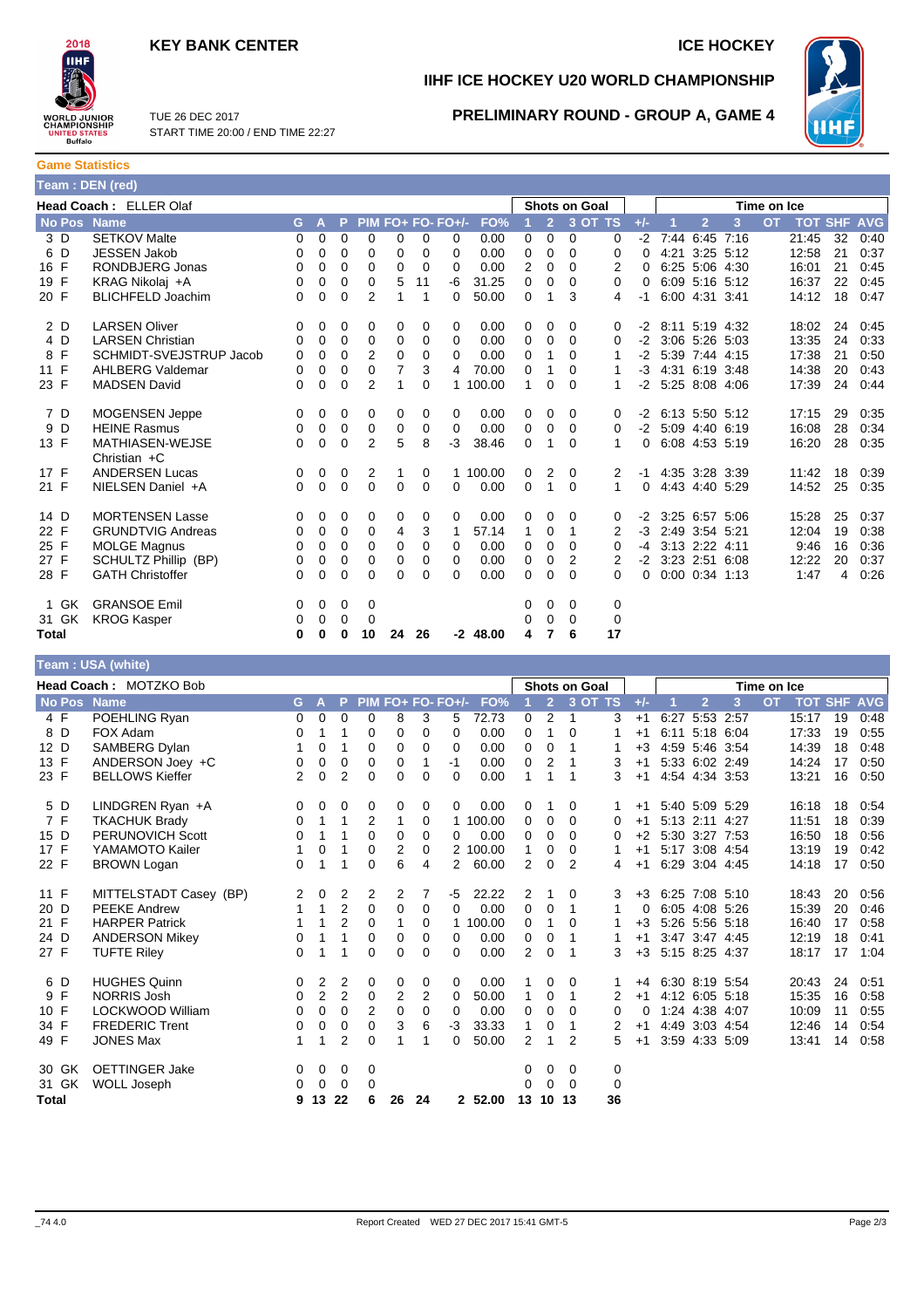# **KEY BANK CENTER ICE HOCKEY**



**IIHF ICE HOCKEY U20 WORLD CHAMPIONSHIP**



TUE 26 DEC 2017 START TIME 20:00 / END TIME 22:27

# **PRELIMINARY ROUND - GROUP A, GAME 4**

| <b>Game Statistics</b> |  |
|------------------------|--|
| Team : DEN (red),      |  |

|               | Head Coach: ELLER Olaf                   |   |   |              |                |    |          |                   |            |             |                | <b>Shots on Goal</b> |         |          |      |                    |                | Time on Ice |            |            |            |
|---------------|------------------------------------------|---|---|--------------|----------------|----|----------|-------------------|------------|-------------|----------------|----------------------|---------|----------|------|--------------------|----------------|-------------|------------|------------|------------|
| <b>No Pos</b> | <b>Name</b>                              | G | A | P            |                |    |          | PIM FO+ FO- FO+/- | FO%        |             | $\overline{2}$ |                      | 3 OT TS | $+/-$    |      | $\overline{2}$     | 3              | <b>OT</b>   | <b>TOT</b> | <b>SHF</b> | <b>AVG</b> |
| 3 D           | <b>SETKOV Malte</b>                      | 0 | 0 | $\mathbf 0$  | $\mathbf 0$    | 0  | 0        | 0                 | 0.00       | $\mathbf 0$ | 0              | $\mathbf 0$          | 0       | $-2$     | 7:44 |                    | $6:45$ 7:16    |             | 21:45      | 32         | 0:40       |
| 6 D           | <b>JESSEN Jakob</b>                      | 0 | 0 | $\mathbf 0$  | 0              | 0  | $\Omega$ | 0                 | 0.00       | 0           | $\Omega$       | $\Omega$             | 0       | 0        | 4:21 |                    | 3:25 5:12      |             | 12:58      | 21         | 0:37       |
| 16 F          | <b>RONDBJERG Jonas</b>                   | 0 | 0 | 0            | 0              | 0  | 0        | 0                 | 0.00       | 2           | 0              | 0                    | 2       | $\Omega$ |      | 6:25 5:06 4:30     |                |             | 16:01      | 21         | 0:45       |
| 19 F          | KRAG Nikolaj +A                          | 0 | 0 | $\mathbf 0$  | $\mathbf 0$    | 5  | 11       | $-6$              | 31.25      | 0           | 0              | 0                    | 0       | 0        |      |                    | 6:09 5:16 5:12 |             | 16:37      | 22         | 0:45       |
| 20 F          | <b>BLICHFELD Joachim</b>                 | 0 | 0 | 0            | 2              | 1  | 1        | 0                 | 50.00      | 0           | 1              | 3                    | 4       | -1       |      | 6:00 4:31 3:41     |                |             | 14:12      | 18         | 0:47       |
| 2 D           | <b>LARSEN Oliver</b>                     | 0 | 0 | 0            | 0              | 0  | 0        | 0                 | 0.00       | 0           | 0              | 0                    | 0       | -2       |      |                    | 8:11 5:19 4:32 |             | 18:02      | 24         | 0:45       |
| 4 D           | <b>LARSEN Christian</b>                  | 0 | 0 | $\mathbf 0$  | 0              | 0  | 0        | 0                 | 0.00       | 0           | 0              | $\Omega$             | 0       | $-2$     |      | 3:06 5:26 5:03     |                |             | 13:35      | 24         | 0:33       |
| 8 F           | SCHMIDT-SVEJSTRUP Jacob                  | 0 | 0 | 0            | 2              | 0  | 0        | 0                 | 0.00       | 0           | 1              | 0                    | 1       | -2       |      | 5:39 7:44 4:15     |                |             | 17:38      | 21         | 0:50       |
| 11 F          | <b>AHLBERG Valdemar</b>                  | 0 | 0 | 0            | 0              | 7  | 3        | 4                 | 70.00      | 0           | 1              | 0                    | 1       | -3       |      | 4:31 6:19 3:48     |                |             | 14:38      | 20         | 0:43       |
| 23 F          | <b>MADSEN David</b>                      | 0 | 0 | 0            | $\overline{2}$ | 1  | 0        |                   | 1 100.00   | 1           | 0              | $\Omega$             | 1       | -2       |      | 5:25 8:08 4:06     |                |             | 17:39      | 24         | 0:44       |
| 7 D           | <b>MOGENSEN Jeppe</b>                    | 0 | 0 | 0            | 0              | 0  | 0        | 0                 | 0.00       | 0           | $\Omega$       | 0                    | 0       | $-2$     |      |                    | 6:13 5:50 5:12 |             | 17:15      | 29         | 0:35       |
| 9 D           | <b>HEINE Rasmus</b>                      | 0 | 0 | 0            | 0              | 0  | 0        | 0                 | 0.00       | 0           | 0              | $\Omega$             | 0       | $-2$     |      | 5:09 4:40 6:19     |                |             | 16:08      | 28         | 0:34       |
| 13 F          | <b>MATHIASEN-WEJSE</b><br>Christian $+C$ | 0 | 0 | $\mathbf 0$  | $\overline{2}$ | 5  | 8        | -3                | 38.46      | 0           | 1              | $\Omega$             | 1       | 0        |      | 6:08 4:53 5:19     |                |             | 16:20      | 28         | 0:35       |
| 17 F          | <b>ANDERSEN Lucas</b>                    | 0 | 0 | 0            | 2              | 1  | 0        |                   | 1 100.00   | 0           | 2              | 0                    | 2       | $-1$     |      | 4:35 3:28 3:39     |                |             | 11:42      | 18         | 0:39       |
| 21 F          | NIELSEN Daniel +A                        | 0 | 0 | 0            | $\mathbf 0$    | 0  | 0        | 0                 | 0.00       | 0           | 1              | $\Omega$             | 1       | $\Omega$ |      | 4:43 4:40 5:29     |                |             | 14:52      | 25         | 0:35       |
| 14 D          | <b>MORTENSEN Lasse</b>                   | 0 | 0 | 0            | 0              | 0  | 0        | 0                 | 0.00       | 0           | 0              | $\Omega$             | 0       | $-2$     |      |                    | 3:25 6:57 5:06 |             | 15:28      | 25         | 0:37       |
| 22 F          | <b>GRUNDTVIG Andreas</b>                 | 0 | 0 | 0            | 0              | 4  | 3        | 1                 | 57.14      | 1           | 0              | 1                    | 2       | -3       |      | 2:49 3:54 5:21     |                |             | 12:04      | 19         | 0:38       |
| 25 F          | <b>MOLGE Magnus</b>                      | 0 | 0 | $\mathbf 0$  | 0              | 0  | 0        | 0                 | 0.00       | 0           | 0              | 0                    | 0       | -4       |      | 3:13 2:22 4:11     |                |             | 9:46       | 16         | 0:36       |
| 27 F          | SCHULTZ Phillip (BP)                     | 0 | 0 | 0            | 0              | 0  | 0        | 0                 | 0.00       | 0           | 0              | 2                    | 2       | -2       |      | 3:23 2:51 6:08     |                |             | 12:22      | 20         | 0:37       |
| 28 F          | <b>GATH Christoffer</b>                  | 0 | 0 | 0            | 0              | 0  | 0        | 0                 | 0.00       | 0           | $\Omega$       | $\Omega$             | 0       | 0        |      | $0:00$ $0:34$ 1:13 |                |             | 1:47       | 4          | 0:26       |
| GK<br>1       | <b>GRANSOE Emil</b>                      | 0 | 0 | 0            | 0              |    |          |                   |            | 0           | 0              | 0                    | 0       |          |      |                    |                |             |            |            |            |
| 31 GK         | <b>KROG Kasper</b>                       | 0 | 0 | 0            | 0              |    |          |                   |            | 0           | 0              | 0                    | 0       |          |      |                    |                |             |            |            |            |
| <b>Total</b>  |                                          | 0 | 0 | $\mathbf{0}$ | 10             | 24 | 26       |                   | $-2$ 48.00 | 4           |                | 6                    | 17      |          |      |                    |                |             |            |            |            |

# **Team : USA (white)**

| Head Coach: MOTZKO Bob<br><b>Shots on Goal</b><br>Time on Ice |                         |          |                |                |                |             |                |                   |          |                |                |                |          |       |      |                |   |           |       |                |            |
|---------------------------------------------------------------|-------------------------|----------|----------------|----------------|----------------|-------------|----------------|-------------------|----------|----------------|----------------|----------------|----------|-------|------|----------------|---|-----------|-------|----------------|------------|
| <b>No Pos</b>                                                 | <b>Name</b>             | G.       | A              | P.             |                |             |                | PIM FO+ FO- FO+/- | FO%      |                | $\overline{2}$ |                | 3 OT TS  | $+/-$ |      | $\overline{2}$ | 3 | <b>OT</b> |       | <b>TOT SHF</b> | <b>AVG</b> |
| 4 F                                                           | POEHLING Ryan           | 0        | 0              | 0              | 0              | 8           | 3              | 5                 | 72.73    | 0              | $\overline{2}$ | $\mathbf 1$    | 3        | $+1$  | 6:27 | 5:53 2:57      |   |           | 15:17 | 19             | 0:48       |
| 8 D                                                           | FOX Adam                | 0        | 1              | 1              | 0              | 0           | 0              | $\Omega$          | 0.00     | 0              | 1              | $\Omega$       |          | $+1$  |      | 6:11 5:18 6:04 |   |           | 17:33 | 19             | 0:55       |
| 12 D                                                          | SAMBERG Dylan           | 1        | 0              | 1              | 0              | 0           | 0              | $\Omega$          | 0.00     | 0              | 0              |                |          | $+3$  |      | 4:59 5:46 3:54 |   |           | 14:39 | 18             | 0:48       |
| 13 F                                                          | ANDERSON Joey +C        | 0        | 0              | 0              | $\Omega$       | $\Omega$    | 1              | $-1$              | 0.00     | 0              | 2              | 1              | 3        | $+1$  |      | 5:33 6:02 2:49 |   |           | 14:24 | 17             | 0:50       |
| 23 F                                                          | <b>BELLOWS Kieffer</b>  | 2        | 0              | $\overline{2}$ | $\Omega$       | $\Omega$    | $\Omega$       | $\Omega$          | 0.00     | 1              | 1              | 1              | 3        | $+1$  |      | 4:54 4:34 3:53 |   |           | 13:21 | 16             | 0:50       |
| 5 D                                                           | LINDGREN Ryan +A        | 0        | 0              | 0              | 0              | 0           | 0              | 0                 | 0.00     | 0              | 1              | 0              |          | $+1$  |      | 5:40 5:09 5:29 |   |           | 16:18 | 18             | 0:54       |
| 7 F                                                           | <b>TKACHUK Brady</b>    | 0        | 1              | 1              | 2              | 1           | 0              |                   | 1 100.00 | 0              | 0              | 0              | 0        | $+1$  |      | 5:13 2:11 4:27 |   |           | 11:51 | 18             | 0:39       |
| 15 D                                                          | PERUNOVICH Scott        | 0        | 1              | 1              | 0              | 0           | 0              | 0                 | 0.00     | 0              | 0              | 0              | $\Omega$ | $+2$  |      | 5:30 3:27 7:53 |   |           | 16:50 | 18             | 0:56       |
| 17 F                                                          | YAMAMOTO Kailer         | 1        | 0              | 1              | $\Omega$       | 2           | 0              |                   | 2 100.00 | $\mathbf{1}$   | 0              | 0              |          | $+1$  |      | 5:17 3:08 4:54 |   |           | 13:19 | 19             | 0:42       |
| 22 F                                                          | <b>BROWN Logan</b>      | 0        | 1              | 1              | 0              | 6           | $\overline{4}$ | 2                 | 60.00    | 2              | 0              | $\overline{2}$ | 4        | $+1$  |      | 6:29 3:04 4:45 |   |           | 14:18 | 17             | 0:50       |
| 11 F                                                          | MITTELSTADT Casey (BP)  | 2        | 0              | 2              | 2              | 2           | 7              | -5                | 22.22    | 2              | 1              | 0              | 3        | $+3$  |      | 6:25 7:08 5:10 |   |           | 18:43 | 20             | 0:56       |
| 20 D                                                          | <b>PEEKE Andrew</b>     | 1        | $\mathbf{1}$   | $\overline{2}$ | $\Omega$       | $\mathbf 0$ | 0              | $\Omega$          | 0.00     | 0              | $\Omega$       | 1              |          | 0     |      | 6:05 4:08 5:26 |   |           | 15:39 | 20             | 0:46       |
| 21 F                                                          | <b>HARPER Patrick</b>   |          | 1              | $\overline{2}$ | 0              |             | 0              |                   | 1 100.00 | 0              | 1              | 0              |          | $+3$  |      | 5:26 5:56 5:18 |   |           | 16:40 | 17             | 0:58       |
| 24 D                                                          | <b>ANDERSON Mikey</b>   | 0        | 1              | 1              | 0              | 0           | 0              | $\Omega$          | 0.00     | 0              | 0              | 1              |          | $+1$  |      | 3:47 3:47 4:45 |   |           | 12:19 | 18             | 0:41       |
| 27 F                                                          | <b>TUFTE Riley</b>      | 0        | 1              | 1              | $\Omega$       | $\Omega$    | $\Omega$       | $\Omega$          | 0.00     | $\overline{2}$ | $\Omega$       | 1              | 3        | $+3$  |      | 5:15 8:25 4:37 |   |           | 18:17 | 17             | 1:04       |
| 6 D                                                           | <b>HUGHES Quinn</b>     | 0        | $\overline{2}$ | 2              | 0              | 0           | 0              | 0                 | 0.00     | 1              | 0              | $\Omega$       |          | $+4$  |      | 6:30 8:19 5:54 |   |           | 20:43 | 24             | 0:51       |
| 9 F                                                           | <b>NORRIS Josh</b>      | 0        | $\overline{2}$ | 2              | $\mathbf 0$    | 2           | 2              | 0                 | 50.00    | $\mathbf{1}$   | 0              | 1              | 2        | $+1$  |      | 4:12 6:05 5:18 |   |           | 15:35 | 16             | 0:58       |
| 10 F                                                          | <b>LOCKWOOD William</b> | 0        | 0              | 0              | $\overline{2}$ | 0           | 0              | 0                 | 0.00     | 0              | 0              | $\Omega$       | 0        | 0     |      | 1:24 4:38 4:07 |   |           | 10:09 | 11             | 0:55       |
| 34 F                                                          | <b>FREDERIC Trent</b>   | 0        | 0              | 0              | $\Omega$       | 3           | 6              | $-3$              | 33.33    | $\mathbf{1}$   | 0              | 1              | 2        | $+1$  |      | 4:49 3:03 4:54 |   |           | 12:46 | 14             | 0:54       |
| 49 F                                                          | <b>JONES Max</b>        | 1        | 1              | $\overline{2}$ | $\Omega$       |             | 1              | $\Omega$          | 50.00    | $\overline{2}$ | 1              | $\overline{2}$ | 5        | $+1$  |      | 3:59 4:33 5:09 |   |           | 13:41 | 14             | 0:58       |
| 30 GK                                                         | <b>OETTINGER Jake</b>   | $\Omega$ | $\mathbf 0$    | 0              | $\mathbf 0$    |             |                |                   |          | 0              | 0              | 0              | 0        |       |      |                |   |           |       |                |            |
| 31 GK                                                         | WOLL Joseph             | 0        | 0              | 0              | $\Omega$       |             |                |                   |          | 0              | $\Omega$       | $\Omega$       | 0        |       |      |                |   |           |       |                |            |
| <b>Total</b>                                                  |                         | 9        | 13 22          |                | 6              | 26          | 24             |                   | 2 52.00  | 13             | 10 13          |                | 36       |       |      |                |   |           |       |                |            |